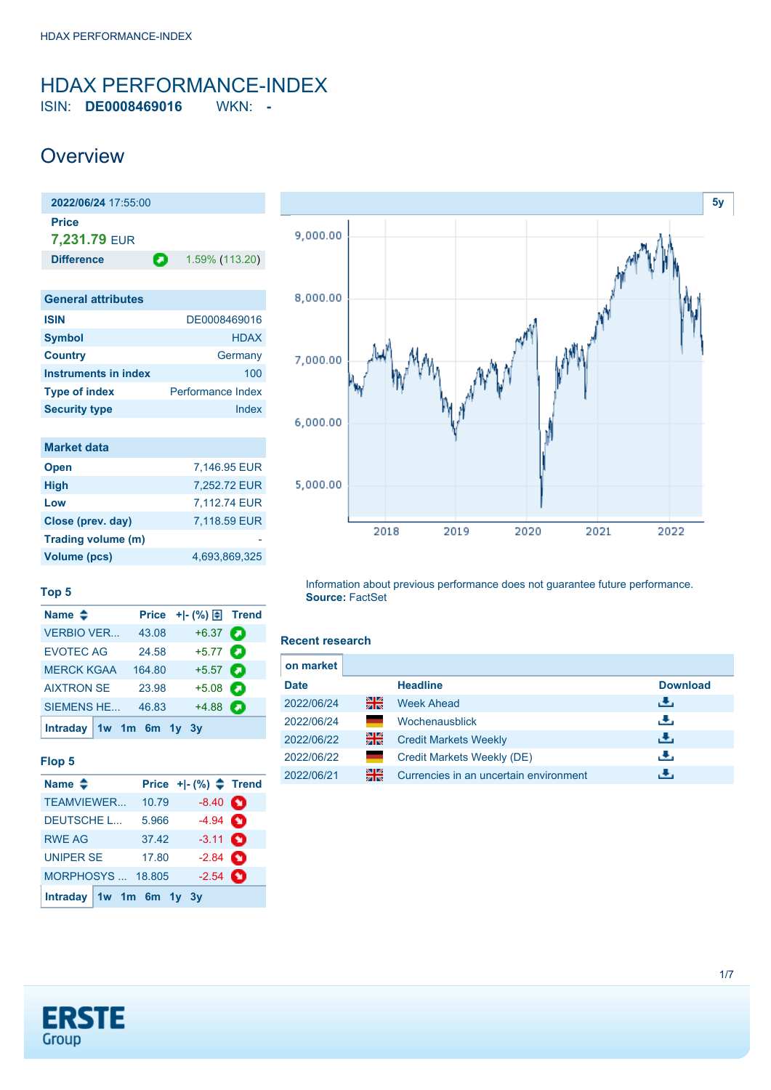## <span id="page-0-0"></span>HDAX PERFORMANCE-INDEX ISIN: **DE0008469016** WKN: **-**

## **Overview**

**2022/06/24** 17:55:00 **Price 7,231.79** EUR **Difference 1.59% (113.20)** 

| <b>General attributes</b> |                          |
|---------------------------|--------------------------|
| <b>ISIN</b>               | DE0008469016             |
| <b>Symbol</b>             | <b>HDAX</b>              |
| <b>Country</b>            | Germany                  |
| Instruments in index      | 100                      |
| <b>Type of index</b>      | <b>Performance Index</b> |
| <b>Security type</b>      | Index                    |

| <b>Market data</b> |               |
|--------------------|---------------|
| <b>Open</b>        | 7,146.95 EUR  |
| <b>High</b>        | 7,252.72 EUR  |
| Low                | 7,112.74 EUR  |
| Close (prev. day)  | 7.118.59 EUR  |
| Trading volume (m) |               |
| Volume (pcs)       | 4,693,869,325 |



### **Top 5**

| Name $\triangleq$       |        | Price $+$ $\mid$ $\cdot$ $\mid \%)$ $\Box$ Trend |   |
|-------------------------|--------|--------------------------------------------------|---|
| <b>VERBIO VER</b>       | 43.08  | $+6.37$                                          | о |
| <b>EVOTEC AG</b>        | 24.58  | $+5.77$ $\bullet$                                |   |
| <b>MERCK KGAA</b>       | 164.80 | $+5.57$ $\bullet$                                |   |
| <b>AIXTRON SE</b>       | 23.98  | $+5.08$                                          |   |
| <b>SIEMENS HE</b>       | 46.83  | $+4.88$                                          | о |
| Intraday 1w 1m 6m 1y 3y |        |                                                  |   |

#### **Flop 5**

| Name $\triangleq$         |       | Price $+$ $ (%)$ $\triangle$ Trend |   |
|---------------------------|-------|------------------------------------|---|
| <b>TEAMVIEWER</b>         | 10.79 | $-8.40$ $\bullet$                  |   |
| <b>DEUTSCHE L</b>         | 5.966 | $-4.94$ $\bullet$                  |   |
| <b>RWE AG</b>             | 37.42 | $-3.11$ $\bullet$                  |   |
| <b>UNIPER SE</b>          | 17.80 | $-2.84$ $\bullet$                  |   |
| <b>MORPHOSYS  18.805</b>  |       | $-2.54$                            | n |
| Intraday $1w$ 1m 6m 1y 3y |       |                                    |   |

Information about previous performance does not guarantee future performance. **Source:** FactSet

#### **Recent research**

|      | <b>Headline</b>                        | <b>Download</b> |
|------|----------------------------------------|-----------------|
| 을중   | <b>Week Ahead</b>                      | رالى            |
| a an | Wochenausblick                         | رنان            |
| 을중   | <b>Credit Markets Weekly</b>           | بالحالة         |
|      | Credit Markets Weekly (DE)             | æ,              |
| 꾉    | Currencies in an uncertain environment | را∯ن            |
|      |                                        |                 |

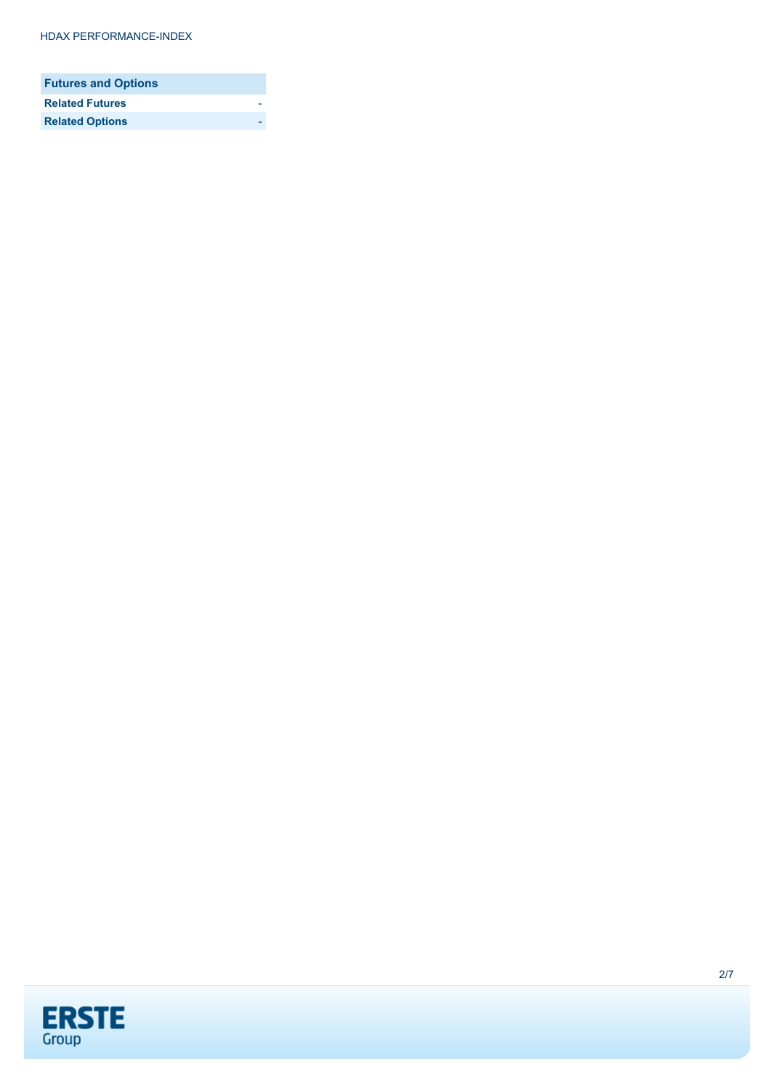| <b>Futures and Options</b> |  |
|----------------------------|--|
| <b>Related Futures</b>     |  |
| <b>Related Options</b>     |  |

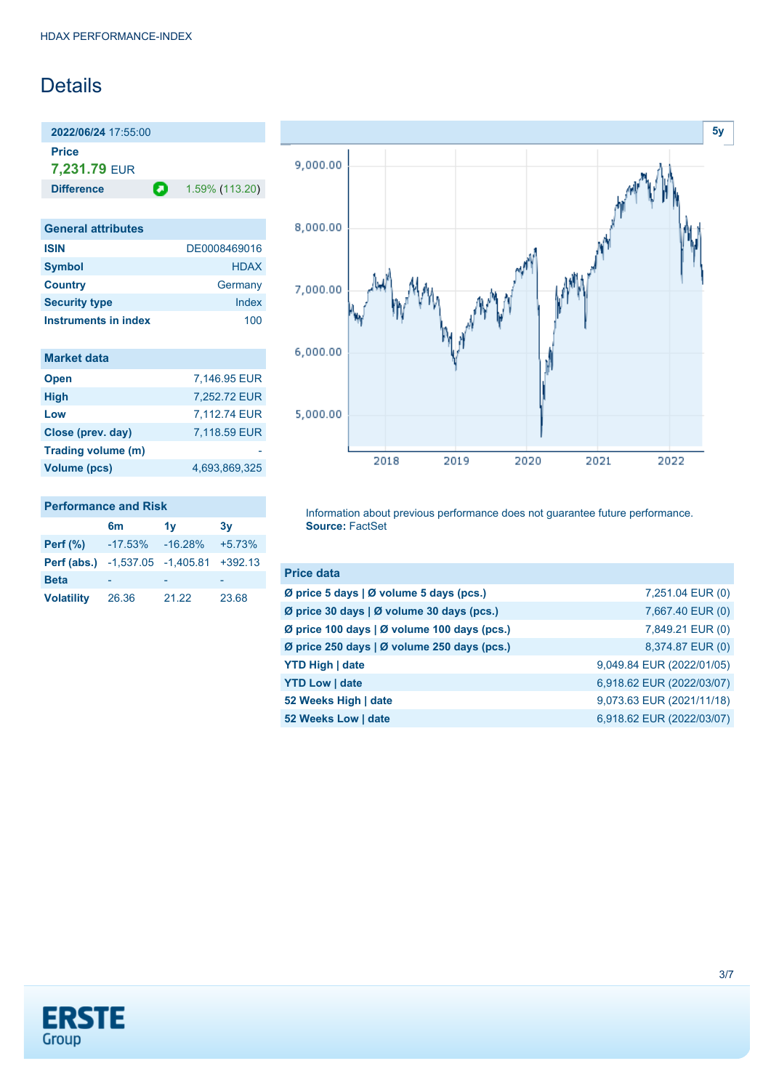# **Details**

**2022/06/24** 17:55:00 **Price 7,231.79** EUR

**Difference 1.59% (113.20)** 

| <b>General attributes</b>   |              |
|-----------------------------|--------------|
| <b>ISIN</b>                 | DE0008469016 |
| <b>Symbol</b>               | <b>HDAX</b>  |
| <b>Country</b>              | Germany      |
| <b>Security type</b>        | Index        |
| <b>Instruments in index</b> | 100          |

| <b>Market data</b> |               |
|--------------------|---------------|
| <b>Open</b>        | 7,146.95 EUR  |
| <b>High</b>        | 7,252.72 EUR  |
| Low                | 7,112.74 EUR  |
| Close (prev. day)  | 7,118.59 EUR  |
| Trading volume (m) |               |
| Volume (pcs)       | 4.693.869.325 |

#### **Performance and Risk**

|                                                      | 6m         | 1 <sub>V</sub> | 3v       |
|------------------------------------------------------|------------|----------------|----------|
| <b>Perf</b> (%)                                      | $-17.53\%$ | $-16.28%$      | $+5.73%$ |
| <b>Perf (abs.)</b> $-1,537.05$ $-1,405.81$ $+392.13$ |            |                |          |
| <b>Beta</b>                                          |            |                |          |
| <b>Volatility</b>                                    | 26.36      | 21.22          | 23.68    |



Information about previous performance does not guarantee future performance. **Source:** FactSet

| <b>Price data</b>                           |                           |
|---------------------------------------------|---------------------------|
| Ø price 5 days   Ø volume 5 days (pcs.)     | 7,251.04 EUR (0)          |
| Ø price 30 days   Ø volume 30 days (pcs.)   | 7,667.40 EUR (0)          |
| Ø price 100 days   Ø volume 100 days (pcs.) | 7,849.21 EUR (0)          |
| Ø price 250 days   Ø volume 250 days (pcs.) | 8,374.87 EUR (0)          |
| <b>YTD High   date</b>                      | 9,049.84 EUR (2022/01/05) |
| <b>YTD Low   date</b>                       | 6,918.62 EUR (2022/03/07) |
| 52 Weeks High   date                        | 9,073.63 EUR (2021/11/18) |
| 52 Weeks Low   date                         | 6,918.62 EUR (2022/03/07) |

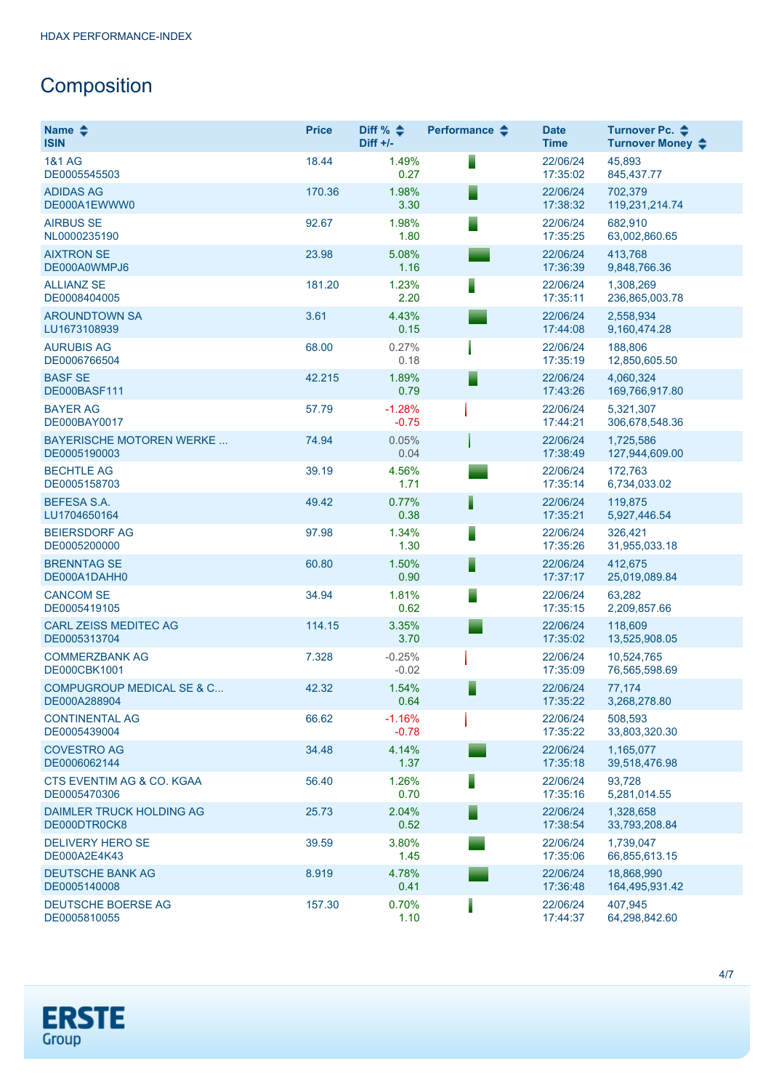# **Composition**

| Name $\triangle$<br><b>ISIN</b>                      | <b>Price</b> | Diff % $\div$<br>$Diff +/-$ | Performance $\clubsuit$ | <b>Date</b><br><b>Time</b> | Turnover Pc. ♦<br>Turnover Money ♦ |
|------------------------------------------------------|--------------|-----------------------------|-------------------------|----------------------------|------------------------------------|
| <b>1&amp;1 AG</b><br>DE0005545503                    | 18.44        | 1.49%<br>0.27               |                         | 22/06/24<br>17:35:02       | 45,893<br>845, 437. 77             |
| <b>ADIDAS AG</b><br>DE000A1EWWW0                     | 170.36       | 1.98%<br>3.30               |                         | 22/06/24<br>17:38:32       | 702,379<br>119,231,214.74          |
| <b>AIRBUS SE</b><br>NL0000235190                     | 92.67        | 1.98%<br>1.80               |                         | 22/06/24<br>17:35:25       | 682,910<br>63,002,860.65           |
| <b>AIXTRON SE</b><br>DE000A0WMPJ6                    | 23.98        | 5.08%<br>1.16               |                         | 22/06/24<br>17:36:39       | 413.768<br>9,848,766.36            |
| <b>ALLIANZ SE</b><br>DE0008404005                    | 181.20       | 1.23%<br>2.20               |                         | 22/06/24<br>17:35:11       | 1,308,269<br>236,865,003.78        |
| <b>AROUNDTOWN SA</b><br>LU1673108939                 | 3.61         | 4.43%<br>0.15               |                         | 22/06/24<br>17:44:08       | 2,558,934<br>9,160,474.28          |
| <b>AURUBIS AG</b><br>DE0006766504                    | 68.00        | 0.27%<br>0.18               |                         | 22/06/24<br>17:35:19       | 188,806<br>12,850,605.50           |
| <b>BASF SE</b><br>DE000BASF111                       | 42.215       | 1.89%<br>0.79               |                         | 22/06/24<br>17:43:26       | 4,060,324<br>169,766,917.80        |
| <b>BAYER AG</b><br>DE000BAY0017                      | 57.79        | $-1.28%$<br>$-0.75$         |                         | 22/06/24<br>17:44:21       | 5.321.307<br>306,678,548.36        |
| <b>BAYERISCHE MOTOREN WERKE</b><br>DE0005190003      | 74.94        | 0.05%<br>0.04               |                         | 22/06/24<br>17:38:49       | 1,725,586<br>127,944,609.00        |
| <b>BECHTLE AG</b><br>DE0005158703                    | 39.19        | 4.56%<br>1.71               |                         | 22/06/24<br>17:35:14       | 172,763<br>6,734,033.02            |
| <b>BEFESA S.A.</b><br>LU1704650164                   | 49.42        | 0.77%<br>0.38               |                         | 22/06/24<br>17:35:21       | 119,875<br>5,927,446.54            |
| <b>BEIERSDORF AG</b><br>DE0005200000                 | 97.98        | 1.34%<br>1.30               |                         | 22/06/24<br>17:35:26       | 326,421<br>31,955,033.18           |
| <b>BRENNTAG SE</b><br>DE000A1DAHH0                   | 60.80        | 1.50%<br>0.90               |                         | 22/06/24<br>17:37:17       | 412,675<br>25,019,089.84           |
| <b>CANCOM SE</b><br>DE0005419105                     | 34.94        | 1.81%<br>0.62               |                         | 22/06/24<br>17:35:15       | 63,282<br>2,209,857.66             |
| <b>CARL ZEISS MEDITEC AG</b><br>DE0005313704         | 114.15       | 3.35%<br>3.70               |                         | 22/06/24<br>17:35:02       | 118,609<br>13,525,908.05           |
| <b>COMMERZBANK AG</b><br>DE000CBK1001                | 7.328        | $-0.25%$<br>$-0.02$         |                         | 22/06/24<br>17:35:09       | 10,524,765<br>76,565,598.69        |
| <b>COMPUGROUP MEDICAL SE &amp; C</b><br>DE000A288904 | 42.32        | 1.54%<br>0.64               |                         | 22/06/24<br>17:35:22       | 77,174<br>3,268,278.80             |
| <b>CONTINENTAL AG</b><br>DE0005439004                | 66.62        | $-1.16%$<br>$-0.78$         |                         | 22/06/24<br>17:35:22       | 508,593<br>33,803,320.30           |
| <b>COVESTRO AG</b><br>DE0006062144                   | 34.48        | 4.14%<br>1.37               |                         | 22/06/24<br>17:35:18       | 1.165.077<br>39,518,476.98         |
| CTS EVENTIM AG & CO. KGAA<br>DE0005470306            | 56.40        | 1.26%<br>0.70               |                         | 22/06/24<br>17:35:16       | 93,728<br>5,281,014.55             |
| DAIMLER TRUCK HOLDING AG<br>DE000DTR0CK8             | 25.73        | 2.04%<br>0.52               |                         | 22/06/24<br>17:38:54       | 1,328,658<br>33,793,208.84         |
| <b>DELIVERY HERO SE</b><br>DE000A2E4K43              | 39.59        | 3.80%<br>1.45               |                         | 22/06/24<br>17:35:06       | 1,739,047<br>66,855,613.15         |
| <b>DEUTSCHE BANK AG</b><br>DE0005140008              | 8.919        | 4.78%<br>0.41               |                         | 22/06/24<br>17:36:48       | 18,868,990<br>164,495,931.42       |
| <b>DEUTSCHE BOERSE AG</b><br>DE0005810055            | 157.30       | 0.70%<br>1.10               |                         | 22/06/24<br>17:44:37       | 407,945<br>64,298,842.60           |

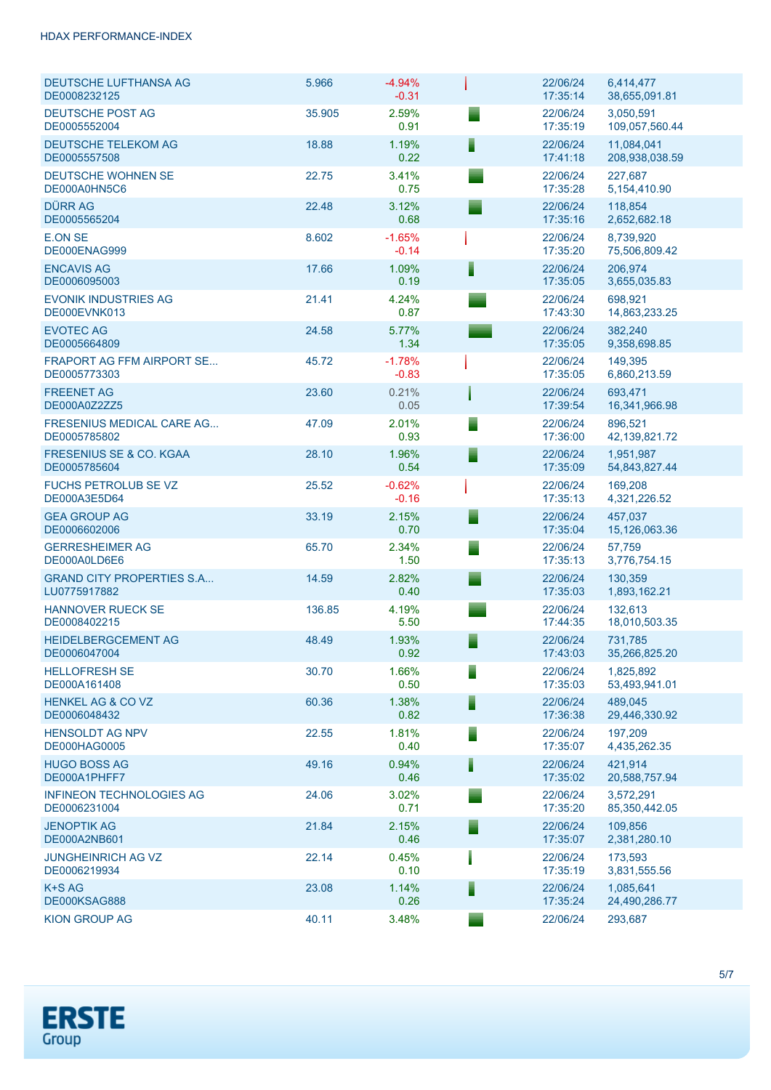| <b>DEUTSCHE LUFTHANSA AG</b><br>DE0008232125       | 5.966  | $-4.94%$<br>$-0.31$ |   | 22/06/24<br>17:35:14 | 6,414,477<br>38,655,091.81   |
|----------------------------------------------------|--------|---------------------|---|----------------------|------------------------------|
| <b>DEUTSCHE POST AG</b><br>DE0005552004            | 35.905 | 2.59%<br>0.91       |   | 22/06/24<br>17:35:19 | 3,050,591<br>109,057,560.44  |
| <b>DEUTSCHE TELEKOM AG</b><br>DE0005557508         | 18.88  | 1.19%<br>0.22       | Ī | 22/06/24<br>17:41:18 | 11,084,041<br>208,938,038.59 |
| <b>DEUTSCHE WOHNEN SE</b><br>DE000A0HN5C6          | 22.75  | 3.41%<br>0.75       |   | 22/06/24<br>17:35:28 | 227,687<br>5,154,410.90      |
| <b>DÜRR AG</b><br>DE0005565204                     | 22.48  | 3.12%<br>0.68       |   | 22/06/24<br>17:35:16 | 118,854<br>2,652,682.18      |
| <b>E.ON SE</b><br>DE000ENAG999                     | 8.602  | $-1.65%$<br>$-0.14$ |   | 22/06/24<br>17:35:20 | 8,739,920<br>75,506,809.42   |
| <b>ENCAVIS AG</b><br>DE0006095003                  | 17.66  | 1.09%<br>0.19       | F | 22/06/24<br>17:35:05 | 206,974<br>3,655,035.83      |
| <b>EVONIK INDUSTRIES AG</b><br>DE000EVNK013        | 21.41  | 4.24%<br>0.87       |   | 22/06/24<br>17:43:30 | 698,921<br>14,863,233.25     |
| <b>EVOTEC AG</b><br>DE0005664809                   | 24.58  | 5.77%<br>1.34       |   | 22/06/24<br>17:35:05 | 382,240<br>9,358,698.85      |
| <b>FRAPORT AG FFM AIRPORT SE</b><br>DE0005773303   | 45.72  | $-1.78%$<br>$-0.83$ |   | 22/06/24<br>17:35:05 | 149,395<br>6,860,213.59      |
| <b>FREENET AG</b><br>DE000A0Z2ZZ5                  | 23.60  | 0.21%<br>0.05       |   | 22/06/24<br>17:39:54 | 693,471<br>16,341,966.98     |
| FRESENIUS MEDICAL CARE AG<br>DE0005785802          | 47.09  | 2.01%<br>0.93       |   | 22/06/24<br>17:36:00 | 896,521<br>42,139,821.72     |
| <b>FRESENIUS SE &amp; CO. KGAA</b><br>DE0005785604 | 28.10  | 1.96%<br>0.54       |   | 22/06/24<br>17:35:09 | 1,951,987<br>54,843,827.44   |
| <b>FUCHS PETROLUB SE VZ</b><br>DE000A3E5D64        | 25.52  | $-0.62%$<br>$-0.16$ |   | 22/06/24<br>17:35:13 | 169,208<br>4,321,226.52      |
| <b>GEA GROUP AG</b><br>DE0006602006                | 33.19  | 2.15%<br>0.70       |   | 22/06/24<br>17:35:04 | 457,037<br>15,126,063.36     |
| <b>GERRESHEIMER AG</b><br>DE000A0LD6E6             | 65.70  | 2.34%<br>1.50       |   | 22/06/24<br>17:35:13 | 57,759<br>3,776,754.15       |
| <b>GRAND CITY PROPERTIES S.A</b><br>LU0775917882   | 14.59  | 2.82%<br>0.40       |   | 22/06/24<br>17:35:03 | 130.359<br>1,893,162.21      |
| <b>HANNOVER RUECK SE</b><br>DE0008402215           | 136.85 | 4.19%<br>5.50       |   | 22/06/24<br>17:44:35 | 132,613<br>18,010,503.35     |
| <b>HEIDELBERGCEMENT AG</b><br>DE0006047004         | 48.49  | 1.93%<br>0.92       |   | 22/06/24<br>17:43:03 | 731.785<br>35,266,825.20     |
| <b>HELLOFRESH SE</b><br>DE000A161408               | 30.70  | 1.66%<br>0.50       |   | 22/06/24<br>17:35:03 | 1,825,892<br>53,493,941.01   |
| <b>HENKEL AG &amp; COVZ</b><br>DE0006048432        | 60.36  | 1.38%<br>0.82       |   | 22/06/24<br>17:36:38 | 489,045<br>29,446,330.92     |
| <b>HENSOLDT AG NPV</b><br><b>DE000HAG0005</b>      | 22.55  | 1.81%<br>0.40       |   | 22/06/24<br>17:35:07 | 197,209<br>4,435,262.35      |
| <b>HUGO BOSS AG</b><br>DE000A1PHFF7                | 49.16  | 0.94%<br>0.46       |   | 22/06/24<br>17:35:02 | 421.914<br>20,588,757.94     |
| <b>INFINEON TECHNOLOGIES AG</b><br>DE0006231004    | 24.06  | 3.02%<br>0.71       |   | 22/06/24<br>17:35:20 | 3,572,291<br>85,350,442.05   |
| <b>JENOPTIK AG</b><br>DE000A2NB601                 | 21.84  | 2.15%<br>0.46       |   | 22/06/24<br>17:35:07 | 109,856<br>2,381,280.10      |
| <b>JUNGHEINRICH AG VZ</b><br>DE0006219934          | 22.14  | 0.45%<br>0.10       |   | 22/06/24<br>17:35:19 | 173,593<br>3,831,555.56      |
| K+S AG<br>DE000KSAG888                             | 23.08  | 1.14%<br>0.26       |   | 22/06/24<br>17:35:24 | 1,085,641<br>24,490,286.77   |
| <b>KION GROUP AG</b>                               | 40.11  | 3.48%               |   | 22/06/24             | 293,687                      |

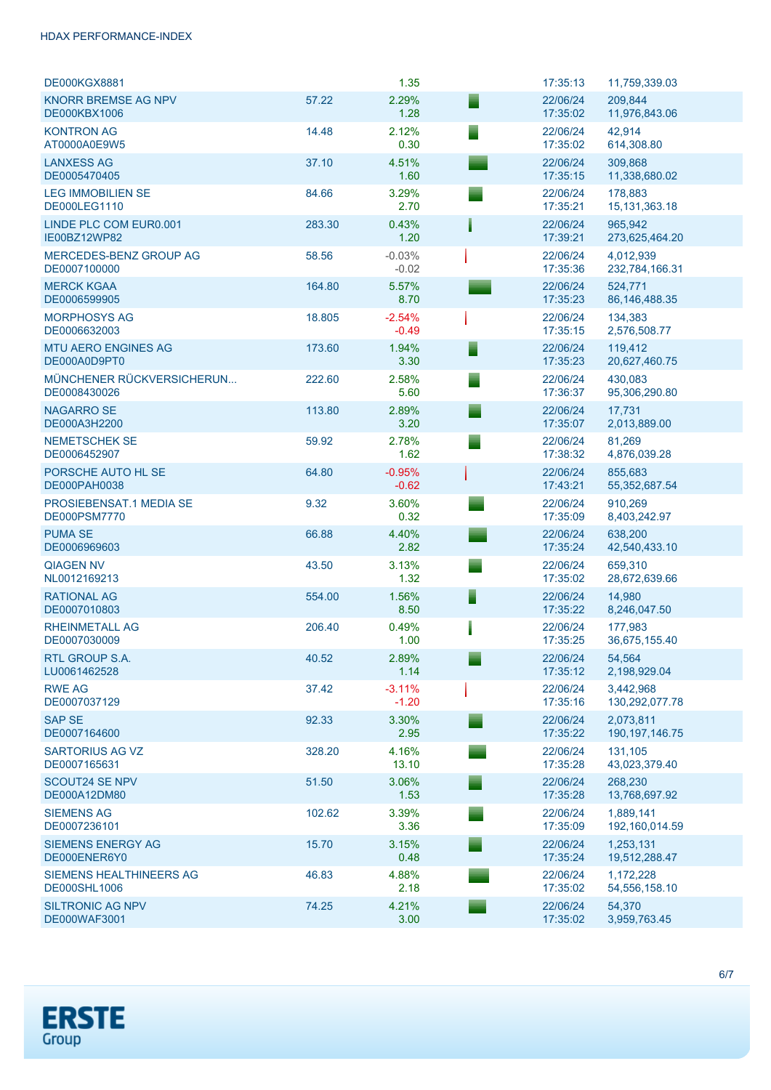#### HDAX PERFORMANCE-INDEX

| DE000KGX8881                                   |        | 1.35                | 17:35:13             | 11,759,339.03                  |
|------------------------------------------------|--------|---------------------|----------------------|--------------------------------|
| KNORR BREMSE AG NPV<br>DE000KBX1006            | 57.22  | 2.29%<br>1.28       | 22/06/24<br>17:35:02 | 209,844<br>11,976,843.06       |
| <b>KONTRON AG</b><br>AT0000A0E9W5              | 14.48  | 2.12%<br>0.30       | 22/06/24<br>17:35:02 | 42,914<br>614,308.80           |
| <b>LANXESS AG</b><br>DE0005470405              | 37.10  | 4.51%<br>1.60       | 22/06/24<br>17:35:15 | 309.868<br>11,338,680.02       |
| <b>LEG IMMOBILIEN SE</b><br>DE000LEG1110       | 84.66  | 3.29%<br>2.70       | 22/06/24<br>17:35:21 | 178,883<br>15, 131, 363. 18    |
| LINDE PLC COM EUR0.001<br>IE00BZ12WP82         | 283.30 | 0.43%<br>1.20       | 22/06/24<br>17:39:21 | 965.942<br>273,625,464.20      |
| MERCEDES-BENZ GROUP AG<br>DE0007100000         | 58.56  | $-0.03%$<br>$-0.02$ | 22/06/24<br>17:35:36 | 4.012.939<br>232,784,166.31    |
| <b>MERCK KGAA</b><br>DE0006599905              | 164.80 | 5.57%<br>8.70       | 22/06/24<br>17:35:23 | 524,771<br>86, 146, 488. 35    |
| <b>MORPHOSYS AG</b><br>DE0006632003            | 18.805 | $-2.54%$<br>$-0.49$ | 22/06/24<br>17:35:15 | 134,383<br>2,576,508.77        |
| <b>MTU AERO ENGINES AG</b><br>DE000A0D9PT0     | 173.60 | 1.94%<br>3.30       | 22/06/24<br>17:35:23 | 119,412<br>20,627,460.75       |
| MÜNCHENER RÜCKVERSICHERUN<br>DE0008430026      | 222.60 | 2.58%<br>5.60       | 22/06/24<br>17:36:37 | 430,083<br>95,306,290.80       |
| <b>NAGARRO SE</b><br>DE000A3H2200              | 113.80 | 2.89%<br>3.20       | 22/06/24<br>17:35:07 | 17,731<br>2,013,889.00         |
| <b>NEMETSCHEK SE</b><br>DE0006452907           | 59.92  | 2.78%<br>1.62       | 22/06/24<br>17:38:32 | 81,269<br>4,876,039.28         |
| PORSCHE AUTO HL SE<br>DE000PAH0038             | 64.80  | $-0.95%$<br>$-0.62$ | 22/06/24<br>17:43:21 | 855,683<br>55, 352, 687. 54    |
| PROSIEBENSAT.1 MEDIA SE<br><b>DE000PSM7770</b> | 9.32   | 3.60%<br>0.32       | 22/06/24<br>17:35:09 | 910,269<br>8,403,242.97        |
| <b>PUMA SE</b><br>DE0006969603                 | 66.88  | 4.40%<br>2.82       | 22/06/24<br>17:35:24 | 638,200<br>42,540,433.10       |
| <b>QIAGEN NV</b><br>NL0012169213               | 43.50  | 3.13%<br>1.32       | 22/06/24<br>17:35:02 | 659,310<br>28,672,639.66       |
| <b>RATIONAL AG</b><br>DE0007010803             | 554.00 | 1.56%<br>8.50       | 22/06/24<br>17:35:22 | 14,980<br>8,246,047.50         |
| <b>RHEINMETALL AG</b><br>DE0007030009          | 206.40 | 0.49%<br>1.00       | 22/06/24<br>17:35:25 | 177,983<br>36,675,155.40       |
| RTL GROUP S.A.<br>LU0061462528                 | 40.52  | 2.89%<br>1.14       | 22/06/24<br>17:35:12 | 54,564<br>2,198,929.04         |
| <b>RWE AG</b><br>DE0007037129                  | 37.42  | $-3.11%$<br>$-1.20$ | 22/06/24<br>17:35:16 | 3,442,968<br>130,292,077.78    |
| <b>SAP SE</b><br>DE0007164600                  | 92.33  | 3.30%<br>2.95       | 22/06/24<br>17:35:22 | 2,073,811<br>190, 197, 146. 75 |
| <b>SARTORIUS AG VZ</b><br>DE0007165631         | 328.20 | 4.16%<br>13.10      | 22/06/24<br>17:35:28 | 131,105<br>43,023,379.40       |
| SCOUT24 SE NPV<br>DE000A12DM80                 | 51.50  | 3.06%<br>1.53       | 22/06/24<br>17:35:28 | 268,230<br>13,768,697.92       |
| <b>SIEMENS AG</b><br>DE0007236101              | 102.62 | 3.39%<br>3.36       | 22/06/24<br>17:35:09 | 1,889,141<br>192, 160, 014.59  |
| <b>SIEMENS ENERGY AG</b><br>DE000ENER6Y0       | 15.70  | 3.15%<br>0.48       | 22/06/24<br>17:35:24 | 1,253,131<br>19,512,288.47     |
| SIEMENS HEALTHINEERS AG<br>DE000SHL1006        | 46.83  | 4.88%<br>2.18       | 22/06/24<br>17:35:02 | 1,172,228<br>54,556,158.10     |
| SILTRONIC AG NPV<br>DE000WAF3001               | 74.25  | 4.21%<br>3.00       | 22/06/24<br>17:35:02 | 54,370<br>3,959,763.45         |